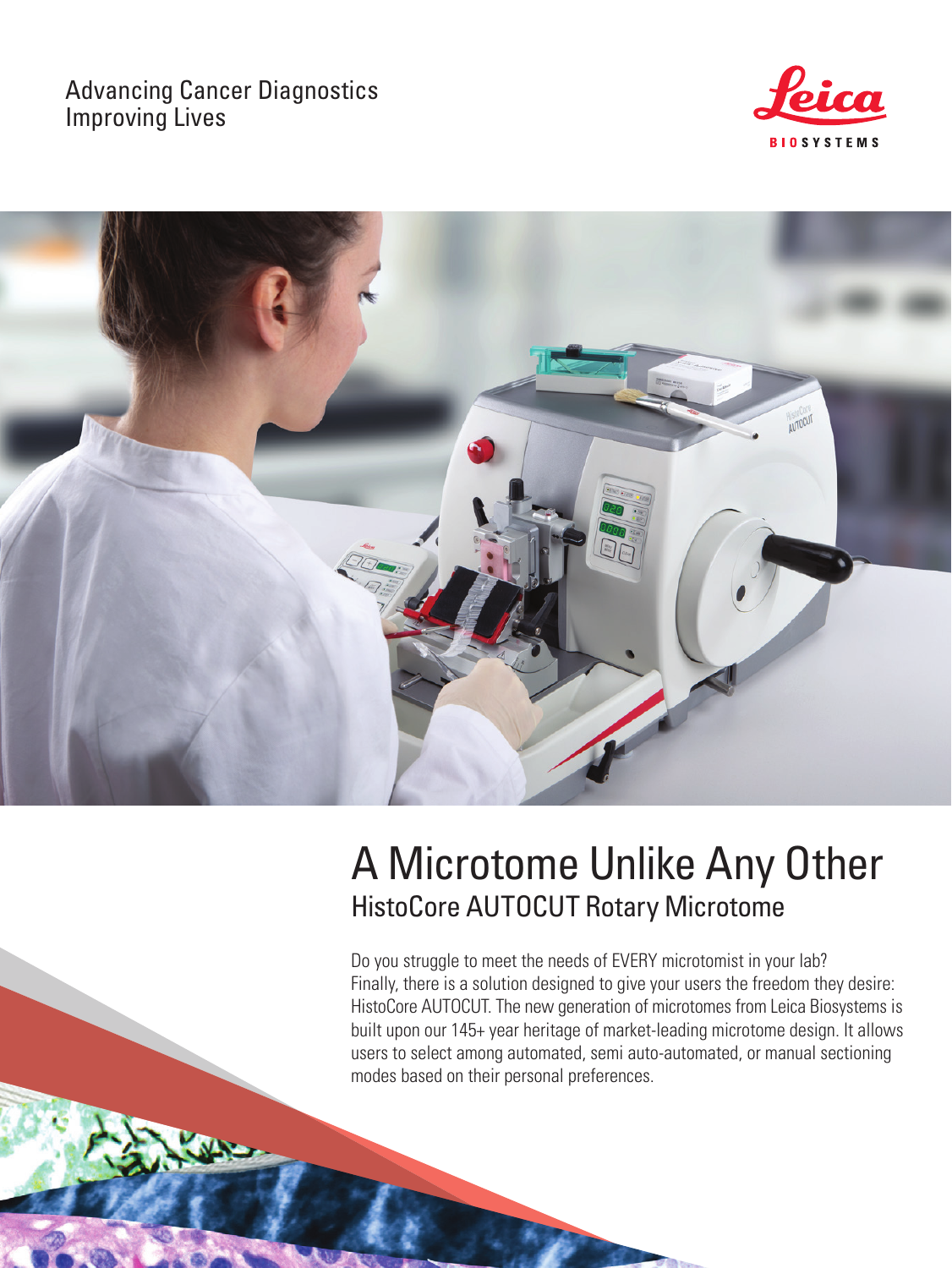## Advancing Cancer Diagnostics Improving Lives





# A Microtome Unlike Any Other HistoCore AUTOCUT Rotary Microtome

Do you struggle to meet the needs of EVERY microtomist in your lab? Finally, there is a solution designed to give your users the freedom they desire: HistoCore AUTOCUT. The new generation of microtomes from Leica Biosystems is built upon our 145+ year heritage of market-leading microtome design. It allows users to select among automated, semi auto-automated, or manual sectioning modes based on their personal preferences.